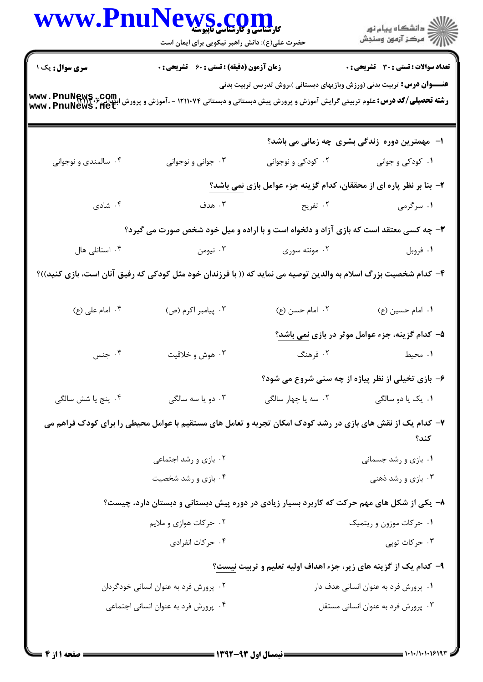|                                                                                                                                                                           | ر<br>کارشناسی و کارشناسی ناپیوسته<br>حضرت علی(ع): دانش راهبر نیکویی برای ایمان است                              |                                      | ر دانشڪاه پيام نور<br>اڳ مرڪز آزمون وسنڊش                                      |  |
|---------------------------------------------------------------------------------------------------------------------------------------------------------------------------|-----------------------------------------------------------------------------------------------------------------|--------------------------------------|--------------------------------------------------------------------------------|--|
| سری سوال: یک ۱                                                                                                                                                            | <b>زمان آزمون (دقیقه) : تستی : 60 ٪ تشریحی : 0</b>                                                              |                                      | تعداد سوالات : تستى : 30 قشريحى : 0                                            |  |
| <b>رشته تحصیلی/کد درس:</b> علوم تربیتی گرایش آموزش و پرورش پیش دبستانی و دبستانی ۱۲۱۱۰۷۴ - ،آموزش و پرورش ابتدایی <b>۲٫۶ www . PnuNews . fiet</b><br>www . PnuNews . fiet |                                                                                                                 |                                      | <b>عنــــوان درس:</b> تربیت بدنی (ورزش وبازیهای دبستانی )،روش تدریس تربیت بدنی |  |
|                                                                                                                                                                           |                                                                                                                 |                                      | ا- مهمترین دوره زندگی بشری چه زمانی می باشد؟                                   |  |
| ۰۴ سالمندی و نوجوانی                                                                                                                                                      | ۰۳ جواني و نوجواني                                                                                              | ۰۲ کودکی و نوجوانی                   | ۰۱ کودکی و جوانی                                                               |  |
|                                                                                                                                                                           |                                                                                                                 |                                      | ۲- بنا بر نظر پاره ای از محققان، کدام گزینه جزء عوامل بازی <u>نمی</u> باشد؟    |  |
| ۰۴ شادی                                                                                                                                                                   | ۰۳ هدف                                                                                                          | ۰۲ تفریح                             | ۱. سرگرمی                                                                      |  |
|                                                                                                                                                                           | ۳- چه کسی معتقد است که بازی آزاد و دلخواه است و با اراده و میل خود شخص صورت می گیرد؟                            |                                      |                                                                                |  |
| ۰۴ استانلی هال                                                                                                                                                            | ۰۳ نیومن                                                                                                        | ۰۲ مونته سوری                        | ۰۱ فروبل                                                                       |  |
|                                                                                                                                                                           | ۴- کدام شخصیت بزرگ اسلام به والدین توصیه می نماید که (( با فرزندان خود مثل کودکی که رفیق آنان است، بازی کنید))؟ |                                      |                                                                                |  |
| ۰۴ امام على (ع)                                                                                                                                                           | ۰۳ پیامبر اکرم (ص)                                                                                              | ۰۲ امام حسن (ع)                      | ۰۱ امام حسین (ع)                                                               |  |
|                                                                                                                                                                           |                                                                                                                 |                                      | ۵– کدام گزینه، جزء عوامل موثر در بازی <u>نمی</u> باشد؟                         |  |
| ۰۴ جنس                                                                                                                                                                    | ۰۳ هوش و خلاقیت                                                                                                 | ۰۲ فرهنگ                             | ۰۱ محیط                                                                        |  |
|                                                                                                                                                                           |                                                                                                                 |                                      | ۶- بازی تخیلی از نظر پیاژه از چه سنی شروع می شود؟                              |  |
| ۰۴ پنج یا شش سالگی                                                                                                                                                        | ۰۳ دو یا سه سالگی                                                                                               | ۰۲ سه یا چهار سالگی                  | ۰۱ یک یا دو سالگی                                                              |  |
|                                                                                                                                                                           | ۷– کدام یک از نقش های بازی در رشد کودک امکان تجربه و تعامل های مستقیم با عوامل محیطی را برای کودک فراهم می      |                                      | كند؟                                                                           |  |
|                                                                                                                                                                           | ۰۲ بازی و رشد اجتماعی                                                                                           |                                      | ۰۱ بازی و رشد جسمانی                                                           |  |
|                                                                                                                                                                           | ۰۴ بازی و رشد شخصیت                                                                                             |                                      | ۰۳ بازی و رشد ذهنی                                                             |  |
|                                                                                                                                                                           | ۸– یکی از شکل های مهم حرکت که کاربرد بسیار زیادی در دوره پیش دبستانی و دبستان دارد، چیست؟                       |                                      |                                                                                |  |
|                                                                                                                                                                           | ۰۲ حرکات هوازی و ملایم                                                                                          |                                      | ۰۱ حرکات موزون و ریتمیک                                                        |  |
|                                                                                                                                                                           | ۰۴ حرکات انفرادی                                                                                                |                                      | ۰۳ حرکات توپی                                                                  |  |
|                                                                                                                                                                           |                                                                                                                 |                                      | ۹- کدام یک از گزینه های زیر، جزء اهداف اولیه تعلیم و تربیت نیست؟               |  |
| ۰۲ پرورش فرد به عنوان انسانی خودگردان                                                                                                                                     |                                                                                                                 | ۰۱ پرورش فرد به عنوان انسانی هدف دار |                                                                                |  |
|                                                                                                                                                                           | ۰۴ پرورش فرد به عنوان انسانی اجتماعی                                                                            |                                      | ۰۳ پرورش فرد به عنوان انسانی مستقل                                             |  |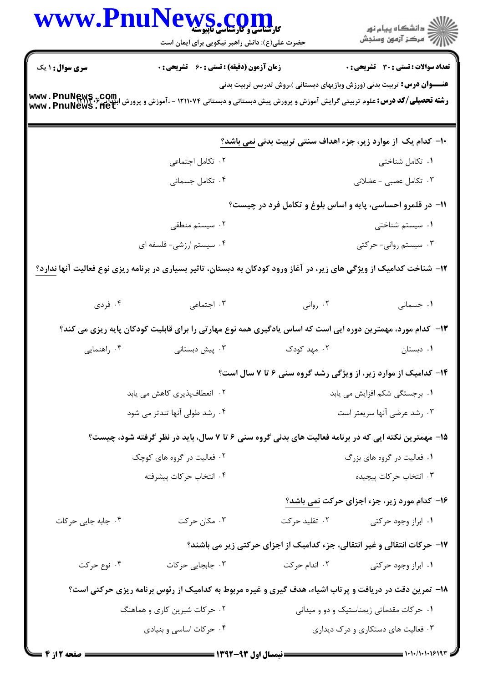| www.Pnu                                                                                                                                                                                                                           | <b>VS COM</b><br>حضرت علی(ع): دانش راهبر نیکویی برای ایمان است                                                              |                                          | ِ<br>∭ دانشڪاه پيام نور<br>∭ مرڪز آزمون وسنڊش                            |  |  |
|-----------------------------------------------------------------------------------------------------------------------------------------------------------------------------------------------------------------------------------|-----------------------------------------------------------------------------------------------------------------------------|------------------------------------------|--------------------------------------------------------------------------|--|--|
| <b>سری سوال : ۱ یک</b>                                                                                                                                                                                                            | <b>زمان آزمون (دقیقه) : تستی : 60 ٪ تشریحی : 0</b>                                                                          |                                          | <b>تعداد سوالات : تستی : 30 ٪ تشریحی : 0</b>                             |  |  |
| <b>عنــــوان درس:</b> تربیت بدنی (ورزش وبازیهای دبستانی )،روش تدریس تربیت بدنی<br><b>رشته تحصیلی/کد درس:</b> علوم تربیتی گرایش آموزش و پرورش پیش دبستانی و دبستانی ۱۲۱۱۰۷۴ - ،آموزش و پرورش ابتدایی۴۳۱۶۰۶<br>www . PnuNews . flet |                                                                                                                             |                                          |                                                                          |  |  |
|                                                                                                                                                                                                                                   |                                                                                                                             |                                          | +ا– کدام یک از موارد زیر، جزء اهداف سنتی تربیت بدنی <u>نمی</u> باشد؟     |  |  |
|                                                                                                                                                                                                                                   | ۰۲ تکامل اجتماعی                                                                                                            |                                          | ۰۱ تکامل شناختی                                                          |  |  |
|                                                                                                                                                                                                                                   | ۰۴ تکامل جسمانی                                                                                                             |                                          | ۰۳ تکامل عصبی - عضلانی                                                   |  |  |
| 11- در قلمرو احساسی، پایه و اساس بلوغ و تکامل فرد در چیست؟                                                                                                                                                                        |                                                                                                                             |                                          |                                                                          |  |  |
|                                                                                                                                                                                                                                   | ۰۲ سیستم منطقی                                                                                                              |                                          | ۰۱ سیستم شناختی                                                          |  |  |
|                                                                                                                                                                                                                                   | ۰۴ سیستم ارزشی- فلسفه ای                                                                                                    |                                          | ۰۳ سیستم روانی- حرکتی                                                    |  |  |
|                                                                                                                                                                                                                                   | ۱۲- شناخت کدامیک از ویژگی های زیر، در آغاز ورود کودکان به دبستان، تاثیر بسیاری در برنامه ریزی نوع فعالیت آنها <u>ندارد؟</u> |                                          |                                                                          |  |  |
| ۰۴ فردی                                                                                                                                                                                                                           | ۰۳ اجتماعی                                                                                                                  | ۰۲ روانی                                 | ٠١. جسمانى                                                               |  |  |
| ۱۳- کدام مورد، مهمترین دوره ایی است که اساس یادگیری همه نوع مهارتی را برای قابلیت کودکان پایه ریزی می کند؟                                                                                                                        |                                                                                                                             |                                          |                                                                          |  |  |
| ۰۴ راهنمایی                                                                                                                                                                                                                       | ۰۳. پیش دبستانی                                                                                                             | ۰۲ مهد کودک                              | ۰۱ دبستان                                                                |  |  |
|                                                                                                                                                                                                                                   |                                                                                                                             |                                          | ۱۴- کدامیک از موارد زیر، از ویژگی رشد گروه سنی ۶ تا ۷ سال است؟           |  |  |
|                                                                                                                                                                                                                                   | ۰۲ انعطافپذیری کاهش می یابد                                                                                                 |                                          | ٠١. برجستگی شکم افزایش می یابد                                           |  |  |
| ۰۴ رشد طولی آنها تندتر می شود                                                                                                                                                                                                     |                                                                                                                             | ۰۳ رشد عرضی آنها سریعتر است              |                                                                          |  |  |
|                                                                                                                                                                                                                                   | ۱۵- مهمترین نکته ایی که در برنامه فعالیت های بدنی گروه سنی ۶ تا ۷ سال، باید در نظر گرفته شود، چیست؟                         |                                          |                                                                          |  |  |
|                                                                                                                                                                                                                                   | ۰۲ فعالیت در گروه های کوچک                                                                                                  | ۰۱ فعالیت در گروه های بزرگ               |                                                                          |  |  |
| ۰۴ انتخاب حركات پيشرفته                                                                                                                                                                                                           |                                                                                                                             | ۰۳ انتخاب حركات پيچيده                   |                                                                          |  |  |
|                                                                                                                                                                                                                                   |                                                                                                                             |                                          | ۱۶- کدام مورد زیر، جزء اجزای حرکت نمی باشد؟                              |  |  |
| ۰۴ جابه جایی حرکات                                                                                                                                                                                                                | ۰۳ مکان حرکت                                                                                                                | ۰۲ تقلید حرکت                            | ۰۱ ابراز وجود حرکتی                                                      |  |  |
|                                                                                                                                                                                                                                   |                                                                                                                             |                                          | ۱۷- حرکات انتقالی و غیر انتقالی، جزء کدامیک از اجزای حرکتی زیر می باشند؟ |  |  |
| ۰۴ نوع حرکت                                                                                                                                                                                                                       | ۰۳ جابجایی حرکات                                                                                                            | ۰۲ اندام حرکت                            | ۰۱ ابراز وجود حرکتی                                                      |  |  |
|                                                                                                                                                                                                                                   | ۱۸- تمرین دقت در دریافت و پرتاب اشیاء، هدف گیری و غیره مربوط به کدامیک از رئوس برنامه ریزی حرکتی است؟                       |                                          |                                                                          |  |  |
|                                                                                                                                                                                                                                   | ۰۲ حرکات شیرین کاری و هماهنگ                                                                                                | ۰۱ حرکات مقدماتی ژیمناستیک و دو و میدانی |                                                                          |  |  |
|                                                                                                                                                                                                                                   | ۰۴ حرکات اساسی و بنیادی                                                                                                     |                                          | ۰۳ فعالیت های دستکاری و درک دیداری                                       |  |  |
|                                                                                                                                                                                                                                   |                                                                                                                             |                                          |                                                                          |  |  |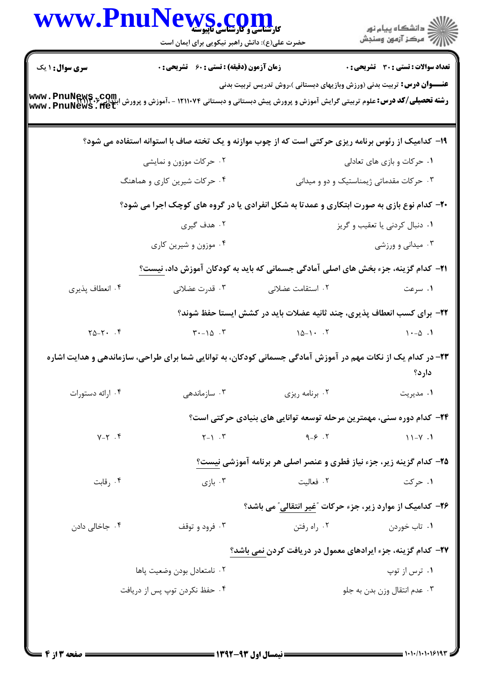| <b>WWW.Fnu</b> r         | کارشناسی و کارشناسی مابیوسته<br>حضرت علی(ع): دانش راهبر نیکویی برای ایمان است                                                                                         |                                                                                | ِ<br>∭ دانشڪاه پيام نور<br>∭ مرڪز آزمون وسنڊش |
|--------------------------|-----------------------------------------------------------------------------------------------------------------------------------------------------------------------|--------------------------------------------------------------------------------|-----------------------------------------------|
| <b>سری سوال : ۱ یک</b>   | <b>زمان آزمون (دقیقه) : تستی : 60 ٪ تشریحی : 0</b>                                                                                                                    |                                                                                | <b>تعداد سوالات : تستي : 30 ٪ تشريحي : 0</b>  |
|                          | <b>رشته تحصیلی/کد درس:</b> علوم تربیتی گرایش آموزش و پرورش پیش دبستانی و دبستانی ۱۲۱۱۰۷۴ - ،آموزش و پرورش ابتداری <b>www . PnuNews . flet</b><br>www . PnuNews . flet | <b>عنــــوان درس:</b> تربیت بدنی (ورزش وبازیهای دبستانی )،روش تدریس تربیت بدنی |                                               |
|                          | ۱۹- کدامیک از رئوس برنامه ریزی حرکتی است که از چوب موازنه و یک تخته صاف با استوانه استفاده می شود؟                                                                    |                                                                                |                                               |
|                          | ۰۲ حرکات موزون و نمایشی                                                                                                                                               |                                                                                | ۰۱ حرکات و بازی های تعادلی                    |
|                          | ۰۴ حرکات شیرین کاری و هماهنگ                                                                                                                                          | ۰۳ حرکات مقدماتی ژیمناستیک و دو و میدانی                                       |                                               |
|                          | <b>۲۰</b> - کدام نوع بازی به صورت ابتکاری و عمدتا به شکل انفرادی یا در گروه های کوچک اجرا می شود؟                                                                     |                                                                                |                                               |
|                          | ۰۲ هدف گیری                                                                                                                                                           |                                                                                | ۰۱ دنبال کردنی یا تعقیب و گریز                |
|                          | ۰۴ موزون و شیرین کاری                                                                                                                                                 |                                                                                | ۰۳ میدانی و ورزشی                             |
|                          | <b>۲۱</b> – کدام گزینه، جزء بخش های اصلی آمادگی جسمانی که باید به کودکان آموزش داد، نیست؟                                                                             |                                                                                |                                               |
| ۰۴ انعطاف پذیری          | ۰۳ قدرت عضلانی                                                                                                                                                        | ۰۲ استقامت عضلانی                                                              | ۰۱ سرعت                                       |
|                          |                                                                                                                                                                       | ۲۲- برای کسب انعطاف پذیری، چند ثانیه عضلات باید در کشش ایستا حفظ شوند؟         |                                               |
| $Y\Delta-Y$ . $\uparrow$ | $\mathbf{r} \cdot - \mathbf{r} \cdot \mathbf{r}$                                                                                                                      | $\lambda \Delta - \lambda$ . T                                                 | $1 - \Delta$ .                                |
|                          | ۲۳– در کدام یک از نکات مهم در آموزش آمادگی جسمانی کودکان، به توانایی شما برای طراحی، سازماندهی و هدایت اشاره                                                          |                                                                                | دار د؟                                        |
| ۰۴ ارائه دستورات         | سازماندهی $\cdot$ ۳                                                                                                                                                   | ۰۲ برنامه ریزی                                                                 | ۰۱ مدیریت                                     |
|                          |                                                                                                                                                                       | ۲۴– کدام دوره سنی، مهمترین مرحله توسعه توانایی های بنیادی حرکتی است؟           |                                               |
| $Y-Y$ .                  | $Y - Y$ . $Y$                                                                                                                                                         | $9 - 5$ .                                                                      | $11-Y.1$                                      |
|                          |                                                                                                                                                                       | ۲۵- کدام گزینه زیر، جزء نیاز فطری و عنصر اصلی هر برنامه آموزشی نیست؟           |                                               |
| ۰۴ رقابت                 | ۰۳ بازی                                                                                                                                                               | ٢. فعاليت                                                                      | ۰۱ حرکت                                       |
|                          |                                                                                                                                                                       | ۲۶- کدامیک از موارد زیر، جزء حرکات "غیر انتقالی" می باشد؟                      |                                               |
| ۰۴ جاخالی دادن           | ۰۳ فرود و توقف                                                                                                                                                        | ۰۲ راه رفتن                                                                    | ۰۱ تاب خوردن                                  |
|                          |                                                                                                                                                                       | ۲۷- کدام گزینه، جزء ایرادهای معمول در دریافت کردن نمی باشد؟                    |                                               |
|                          | ۰۲ نامتعادل بودن وضعيت پاها                                                                                                                                           |                                                                                | ۰۱ ترس از توپ                                 |
|                          | ۰۴ حفظ نکردن توپ پس از دریافت                                                                                                                                         |                                                                                | ٠٣ عدم انتقال وزن بدن به جلو                  |
|                          |                                                                                                                                                                       |                                                                                |                                               |
|                          |                                                                                                                                                                       |                                                                                |                                               |

 $\blacksquare$